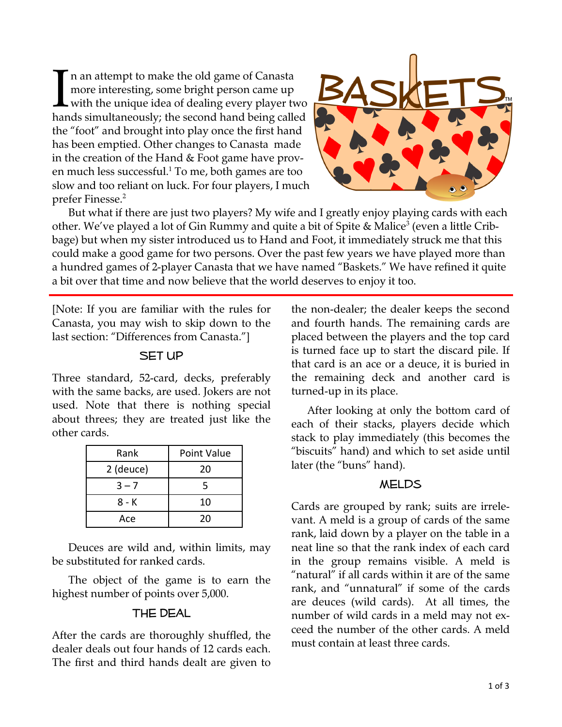I n an attempt to make the old game of Canasta<br>more interesting, some bright person came up<br>with the unique idea of dealing every player to<br>hands simultaneously: the second hand being calle more interesting, some bright person came up with the unique idea of dealing every player two hands simultaneously; the second hand being called the "foot" and brought into play once the first hand has been emptied. Other changes to Canasta made in the creation of the Hand & Foot game have proven much less successful. $^1$  To me, both games are too slow and too reliant on luck. For four players, I much prefer Finesse.2



 But what if there are just two players? My wife and I greatly enjoy playing cards with each other. We've played a lot of Gin Rummy and quite a bit of Spite & Malice<sup>3</sup> (even a little Cribbage) but when my sister introduced us to Hand and Foot, it immediately struck me that this could make a good game for two persons. Over the past few years we have played more than a hundred games of 2-player Canasta that we have named "Baskets." We have refined it quite a bit over that time and now believe that the world deserves to enjoy it too.

[Note: If you are familiar with the rules for Canasta, you may wish to skip down to the last section: "Differences from Canasta."]

### SET UP

Three standard, 52-card, decks, preferably with the same backs, are used. Jokers are not used. Note that there is nothing special about threes; they are treated just like the other cards.

| Rank      | Point Value |
|-----------|-------------|
| 2 (deuce) | 20          |
| $3 - 7$   | 5           |
| 8 - K     | 10          |
| Ace       | 20          |

Deuces are wild and, within limits, may be substituted for ranked cards.

 The object of the game is to earn the highest number of points over 5,000.

## The Deal

After the cards are thoroughly shuffled, the dealer deals out four hands of 12 cards each. The first and third hands dealt are given to the non-dealer; the dealer keeps the second and fourth hands. The remaining cards are placed between the players and the top card is turned face up to start the discard pile. If that card is an ace or a deuce, it is buried in the remaining deck and another card is turned-up in its place.

 After looking at only the bottom card of each of their stacks, players decide which stack to play immediately (this becomes the "biscuits" hand) and which to set aside until later (the "buns" hand).

## **MELDS**

Cards are grouped by rank; suits are irrelevant. A meld is a group of cards of the same rank, laid down by a player on the table in a neat line so that the rank index of each card in the group remains visible. A meld is "natural" if all cards within it are of the same rank, and "unnatural" if some of the cards are deuces (wild cards). At all times, the number of wild cards in a meld may not exceed the number of the other cards. A meld must contain at least three cards.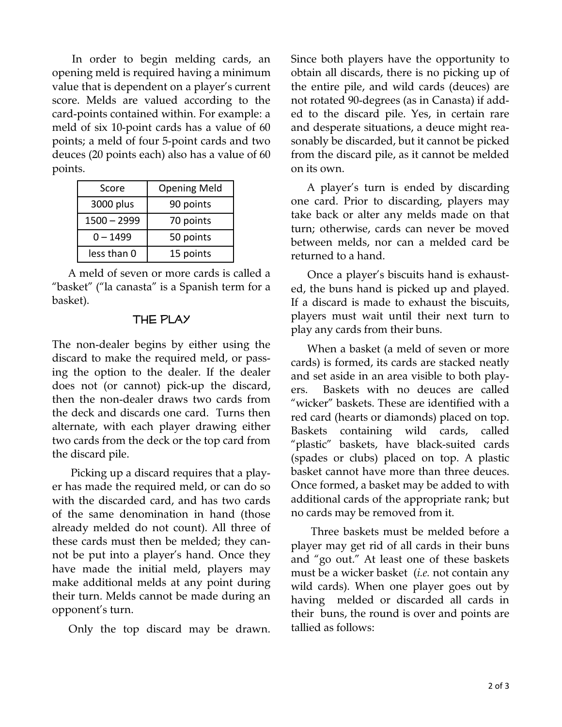In order to begin melding cards, an opening meld is required having a minimum value that is dependent on a player's current score. Melds are valued according to the card-points contained within. For example: a meld of six 10-point cards has a value of 60 points; a meld of four 5-point cards and two deuces (20 points each) also has a value of 60 points.

| Score         | <b>Opening Meld</b> |
|---------------|---------------------|
| 3000 plus     | 90 points           |
| $1500 - 2999$ | 70 points           |
| $0 - 1499$    | 50 points           |
| less than 0   | 15 points           |

 A meld of seven or more cards is called a "basket" ("la canasta" is a Spanish term for a basket).

### The Play

The non-dealer begins by either using the discard to make the required meld, or passing the option to the dealer. If the dealer does not (or cannot) pick-up the discard, then the non-dealer draws two cards from the deck and discards one card. Turns then alternate, with each player drawing either two cards from the deck or the top card from the discard pile.

 Picking up a discard requires that a player has made the required meld, or can do so with the discarded card, and has two cards of the same denomination in hand (those already melded do not count). All three of these cards must then be melded; they cannot be put into a player's hand. Once they have made the initial meld, players may make additional melds at any point during their turn. Melds cannot be made during an opponent's turn.

Only the top discard may be drawn.

Since both players have the opportunity to obtain all discards, there is no picking up of the entire pile, and wild cards (deuces) are not rotated 90-degrees (as in Canasta) if added to the discard pile. Yes, in certain rare and desperate situations, a deuce might reasonably be discarded, but it cannot be picked from the discard pile, as it cannot be melded on its own.

 A player's turn is ended by discarding one card. Prior to discarding, players may take back or alter any melds made on that turn; otherwise, cards can never be moved between melds, nor can a melded card be returned to a hand.

 Once a player's biscuits hand is exhausted, the buns hand is picked up and played. If a discard is made to exhaust the biscuits, players must wait until their next turn to play any cards from their buns.

 When a basket (a meld of seven or more cards) is formed, its cards are stacked neatly and set aside in an area visible to both players. Baskets with no deuces are called "wicker" baskets. These are identified with a red card (hearts or diamonds) placed on top. Baskets containing wild cards, called "plastic" baskets, have black-suited cards (spades or clubs) placed on top. A plastic basket cannot have more than three deuces. Once formed, a basket may be added to with additional cards of the appropriate rank; but no cards may be removed from it.

Three baskets must be melded before a player may get rid of all cards in their buns and "go out." At least one of these baskets must be a wicker basket (*i.e.* not contain any wild cards). When one player goes out by having melded or discarded all cards in their buns, the round is over and points are tallied as follows: